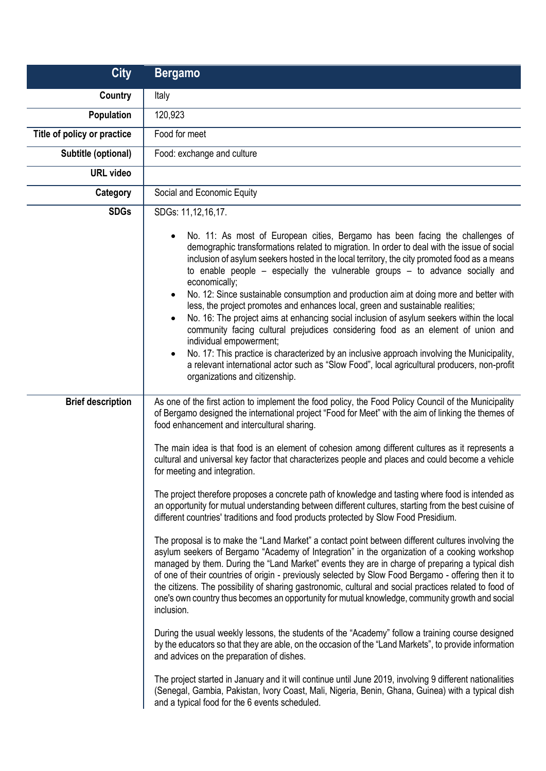| <b>City</b>                 | <b>Bergamo</b>                                                                                                                                                                                                                                                                                                                                                                                                                                                                                                                                                                                                                                                                                                                                                                                                                                                                                                                                                                                                                                                                                                                                                                                                                                                                                                                                                                                                                                                             |
|-----------------------------|----------------------------------------------------------------------------------------------------------------------------------------------------------------------------------------------------------------------------------------------------------------------------------------------------------------------------------------------------------------------------------------------------------------------------------------------------------------------------------------------------------------------------------------------------------------------------------------------------------------------------------------------------------------------------------------------------------------------------------------------------------------------------------------------------------------------------------------------------------------------------------------------------------------------------------------------------------------------------------------------------------------------------------------------------------------------------------------------------------------------------------------------------------------------------------------------------------------------------------------------------------------------------------------------------------------------------------------------------------------------------------------------------------------------------------------------------------------------------|
| Country                     | Italy                                                                                                                                                                                                                                                                                                                                                                                                                                                                                                                                                                                                                                                                                                                                                                                                                                                                                                                                                                                                                                                                                                                                                                                                                                                                                                                                                                                                                                                                      |
| Population                  | 120,923                                                                                                                                                                                                                                                                                                                                                                                                                                                                                                                                                                                                                                                                                                                                                                                                                                                                                                                                                                                                                                                                                                                                                                                                                                                                                                                                                                                                                                                                    |
| Title of policy or practice | Food for meet                                                                                                                                                                                                                                                                                                                                                                                                                                                                                                                                                                                                                                                                                                                                                                                                                                                                                                                                                                                                                                                                                                                                                                                                                                                                                                                                                                                                                                                              |
| Subtitle (optional)         | Food: exchange and culture                                                                                                                                                                                                                                                                                                                                                                                                                                                                                                                                                                                                                                                                                                                                                                                                                                                                                                                                                                                                                                                                                                                                                                                                                                                                                                                                                                                                                                                 |
| <b>URL</b> video            |                                                                                                                                                                                                                                                                                                                                                                                                                                                                                                                                                                                                                                                                                                                                                                                                                                                                                                                                                                                                                                                                                                                                                                                                                                                                                                                                                                                                                                                                            |
| Category                    | Social and Economic Equity                                                                                                                                                                                                                                                                                                                                                                                                                                                                                                                                                                                                                                                                                                                                                                                                                                                                                                                                                                                                                                                                                                                                                                                                                                                                                                                                                                                                                                                 |
| <b>SDGs</b>                 | SDGs: 11,12,16,17.<br>No. 11: As most of European cities, Bergamo has been facing the challenges of<br>$\bullet$<br>demographic transformations related to migration. In order to deal with the issue of social<br>inclusion of asylum seekers hosted in the local territory, the city promoted food as a means<br>to enable people $-$ especially the vulnerable groups $-$ to advance socially and<br>economically;<br>No. 12: Since sustainable consumption and production aim at doing more and better with<br>$\bullet$<br>less, the project promotes and enhances local, green and sustainable realities;<br>No. 16: The project aims at enhancing social inclusion of asylum seekers within the local<br>$\bullet$<br>community facing cultural prejudices considering food as an element of union and<br>individual empowerment;<br>No. 17: This practice is characterized by an inclusive approach involving the Municipality,<br>$\bullet$<br>a relevant international actor such as "Slow Food", local agricultural producers, non-profit<br>organizations and citizenship.                                                                                                                                                                                                                                                                                                                                                                                     |
| <b>Brief description</b>    | As one of the first action to implement the food policy, the Food Policy Council of the Municipality<br>of Bergamo designed the international project "Food for Meet" with the aim of linking the themes of<br>food enhancement and intercultural sharing.<br>The main idea is that food is an element of cohesion among different cultures as it represents a<br>cultural and universal key factor that characterizes people and places and could become a vehicle<br>for meeting and integration.                                                                                                                                                                                                                                                                                                                                                                                                                                                                                                                                                                                                                                                                                                                                                                                                                                                                                                                                                                        |
|                             | The project therefore proposes a concrete path of knowledge and tasting where food is intended as<br>an opportunity for mutual understanding between different cultures, starting from the best cuisine of<br>different countries' traditions and food products protected by Slow Food Presidium.<br>The proposal is to make the "Land Market" a contact point between different cultures involving the<br>asylum seekers of Bergamo "Academy of Integration" in the organization of a cooking workshop<br>managed by them. During the "Land Market" events they are in charge of preparing a typical dish<br>of one of their countries of origin - previously selected by Slow Food Bergamo - offering then it to<br>the citizens. The possibility of sharing gastronomic, cultural and social practices related to food of<br>one's own country thus becomes an opportunity for mutual knowledge, community growth and social<br>inclusion.<br>During the usual weekly lessons, the students of the "Academy" follow a training course designed<br>by the educators so that they are able, on the occasion of the "Land Markets", to provide information<br>and advices on the preparation of dishes.<br>The project started in January and it will continue until June 2019, involving 9 different nationalities<br>(Senegal, Gambia, Pakistan, Ivory Coast, Mali, Nigeria, Benin, Ghana, Guinea) with a typical dish<br>and a typical food for the 6 events scheduled. |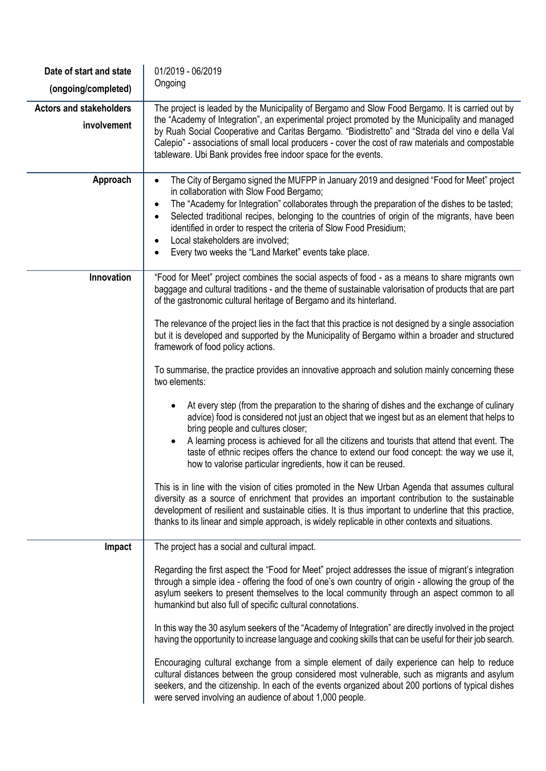| Date of start and state                       | 01/2019 - 06/2019                                                                                                                                                                                                                                                                                                                                                                                                                                                                                                                                                            |
|-----------------------------------------------|------------------------------------------------------------------------------------------------------------------------------------------------------------------------------------------------------------------------------------------------------------------------------------------------------------------------------------------------------------------------------------------------------------------------------------------------------------------------------------------------------------------------------------------------------------------------------|
| (ongoing/completed)                           | Ongoing                                                                                                                                                                                                                                                                                                                                                                                                                                                                                                                                                                      |
| <b>Actors and stakeholders</b><br>involvement | The project is leaded by the Municipality of Bergamo and Slow Food Bergamo. It is carried out by<br>the "Academy of Integration", an experimental project promoted by the Municipality and managed<br>by Ruah Social Cooperative and Caritas Bergamo. "Biodistretto" and "Strada del vino e della Val<br>Calepio" - associations of small local producers - cover the cost of raw materials and compostable<br>tableware. Ubi Bank provides free indoor space for the events.                                                                                                |
| Approach                                      | The City of Bergamo signed the MUFPP in January 2019 and designed "Food for Meet" project<br>$\bullet$<br>in collaboration with Slow Food Bergamo;<br>The "Academy for Integration" collaborates through the preparation of the dishes to be tasted;<br>$\bullet$<br>Selected traditional recipes, belonging to the countries of origin of the migrants, have been<br>$\bullet$<br>identified in order to respect the criteria of Slow Food Presidium;<br>Local stakeholders are involved;<br>$\bullet$<br>Every two weeks the "Land Market" events take place.<br>$\bullet$ |
| Innovation                                    | "Food for Meet" project combines the social aspects of food - as a means to share migrants own<br>baggage and cultural traditions - and the theme of sustainable valorisation of products that are part<br>of the gastronomic cultural heritage of Bergamo and its hinterland.                                                                                                                                                                                                                                                                                               |
|                                               | The relevance of the project lies in the fact that this practice is not designed by a single association<br>but it is developed and supported by the Municipality of Bergamo within a broader and structured<br>framework of food policy actions.                                                                                                                                                                                                                                                                                                                            |
|                                               | To summarise, the practice provides an innovative approach and solution mainly concerning these<br>two elements:                                                                                                                                                                                                                                                                                                                                                                                                                                                             |
|                                               | At every step (from the preparation to the sharing of dishes and the exchange of culinary<br>advice) food is considered not just an object that we ingest but as an element that helps to<br>bring people and cultures closer;<br>A learning process is achieved for all the citizens and tourists that attend that event. The<br>$\bullet$<br>taste of ethnic recipes offers the chance to extend our food concept: the way we use it,<br>how to valorise particular ingredients, how it can be reused.                                                                     |
|                                               | This is in line with the vision of cities promoted in the New Urban Agenda that assumes cultural<br>diversity as a source of enrichment that provides an important contribution to the sustainable<br>development of resilient and sustainable cities. It is thus important to underline that this practice,<br>thanks to its linear and simple approach, is widely replicable in other contexts and situations.                                                                                                                                                             |
| Impact                                        | The project has a social and cultural impact.                                                                                                                                                                                                                                                                                                                                                                                                                                                                                                                                |
|                                               | Regarding the first aspect the "Food for Meet" project addresses the issue of migrant's integration<br>through a simple idea - offering the food of one's own country of origin - allowing the group of the<br>asylum seekers to present themselves to the local community through an aspect common to all<br>humankind but also full of specific cultural connotations.                                                                                                                                                                                                     |
|                                               | In this way the 30 asylum seekers of the "Academy of Integration" are directly involved in the project<br>having the opportunity to increase language and cooking skills that can be useful for their job search.                                                                                                                                                                                                                                                                                                                                                            |
|                                               | Encouraging cultural exchange from a simple element of daily experience can help to reduce<br>cultural distances between the group considered most vulnerable, such as migrants and asylum<br>seekers, and the citizenship. In each of the events organized about 200 portions of typical dishes<br>were served involving an audience of about 1,000 people.                                                                                                                                                                                                                 |